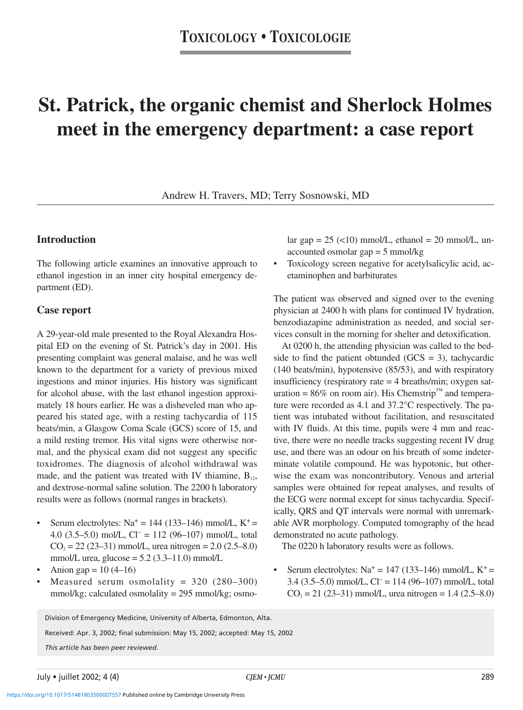# **St. Patrick, the organic chemist and Sherlock Holmes meet in the emergency department: a case report**

Andrew H. Travers, MD; Terry Sosnowski, MD

## **Introduction**

The following article examines an innovative approach to ethanol ingestion in an inner city hospital emergency department (ED).

### **Case report**

A 29-year-old male presented to the Royal Alexandra Hospital ED on the evening of St. Patrick's day in 2001. His presenting complaint was general malaise, and he was well known to the department for a variety of previous mixed ingestions and minor injuries. His history was significant for alcohol abuse, with the last ethanol ingestion approximately 18 hours earlier. He was a disheveled man who appeared his stated age, with a resting tachycardia of 115 beats/min, a Glasgow Coma Scale (GCS) score of 15, and a mild resting tremor. His vital signs were otherwise normal, and the physical exam did not suggest any specific toxidromes. The diagnosis of alcohol withdrawal was made, and the patient was treated with IV thiamine,  $B_{12}$ , and dextrose-normal saline solution. The 2200 h laboratory results were as follows (normal ranges in brackets).

- Serum electrolytes:  $Na<sup>+</sup> = 144$  (133–146) mmol/L,  $K<sup>+</sup> =$ 4.0 (3.5–5.0) mol/L,  $CI = 112$  (96–107) mmol/L, total  $CO<sub>2</sub> = 22 (23-31)$  mmol/L, urea nitrogen = 2.0 (2.5–8.0) mmol/L urea, glucose =  $5.2$  (3.3–11.0) mmol/L
- Anion gap =  $10(4–16)$
- Measured serum osmolality =  $320$  (280–300) mmol/kg; calculated osmolality = 295 mmol/kg; osmo-

lar gap =  $25$  (<10) mmol/L, ethanol =  $20$  mmol/L, unaccounted osmolar gap = 5 mmol/kg

• Toxicology screen negative for acetylsalicylic acid, acetaminophen and barbiturates

The patient was observed and signed over to the evening physician at 2400 h with plans for continued IV hydration, benzodiazapine administration as needed, and social services consult in the morning for shelter and detoxification.

At 0200 h, the attending physician was called to the bedside to find the patient obtunded ( $GCS = 3$ ), tachycardic (140 beats/min), hypotensive (85/53), and with respiratory insufficiency (respiratory rate = 4 breaths/min; oxygen saturation =  $86\%$  on room air). His Chemstrip<sup>™</sup> and temperature were recorded as 4.1 and 37.2°C respectively. The patient was intubated without facilitation, and resuscitated with IV fluids. At this time, pupils were 4 mm and reactive, there were no needle tracks suggesting recent IV drug use, and there was an odour on his breath of some indeterminate volatile compound. He was hypotonic, but otherwise the exam was noncontributory. Venous and arterial samples were obtained for repeat analyses, and results of the ECG were normal except for sinus tachycardia. Specifically, QRS and QT intervals were normal with unremarkable AVR morphology. Computed tomography of the head demonstrated no acute pathology.

The 0220 h laboratory results were as follows.

• Serum electrolytes:  $Na<sup>+</sup> = 147 (133–146)$  mmol/L,  $K<sup>+</sup> =$ 3.4 (3.5–5.0) mmol/L,  $Cl^-$  = 114 (96–107) mmol/L, total  $CO<sub>2</sub> = 21 (23-31)$  mmol/L, urea nitrogen = 1.4 (2.5–8.0)

Received: Apr. 3, 2002; final submission: May 15, 2002; accepted: May 15, 2002

*This article has been peer reviewed.*

Division of Emergency Medicine, University of Alberta, Edmonton, Alta.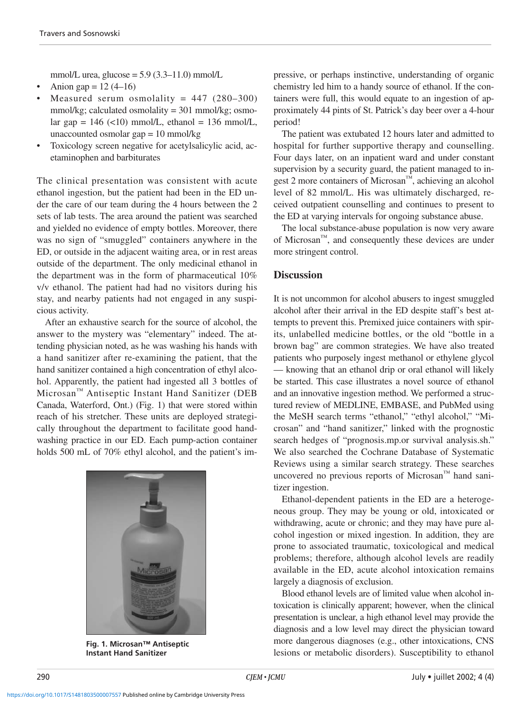mmol/L urea, glucose =  $5.9$  (3.3–11.0) mmol/L

- Anion gap =  $12(4-16)$
- Measured serum osmolality =  $447$  (280–300) mmol/kg; calculated osmolality = 301 mmol/kg; osmolar gap = 146  $(\leq 10)$  mmol/L, ethanol = 136 mmol/L, unaccounted osmolar gap  $= 10$  mmol/kg
- Toxicology screen negative for acetylsalicylic acid, acetaminophen and barbiturates

The clinical presentation was consistent with acute ethanol ingestion, but the patient had been in the ED under the care of our team during the 4 hours between the 2 sets of lab tests. The area around the patient was searched and yielded no evidence of empty bottles. Moreover, there was no sign of "smuggled" containers anywhere in the ED, or outside in the adjacent waiting area, or in rest areas outside of the department. The only medicinal ethanol in the department was in the form of pharmaceutical 10% v/v ethanol. The patient had had no visitors during his stay, and nearby patients had not engaged in any suspicious activity.

After an exhaustive search for the source of alcohol, the answer to the mystery was "elementary" indeed. The attending physician noted, as he was washing his hands with a hand sanitizer after re-examining the patient, that the hand sanitizer contained a high concentration of ethyl alcohol. Apparently, the patient had ingested all 3 bottles of Microsan™ Antiseptic Instant Hand Sanitizer (DEB Canada, Waterford, Ont.) (Fig. 1) that were stored within reach of his stretcher. These units are deployed strategically throughout the department to facilitate good handwashing practice in our ED. Each pump-action container holds 500 mL of 70% ethyl alcohol, and the patient's im-



**Fig. 1. Microsan™ Antiseptic Instant Hand Sanitizer**

pressive, or perhaps instinctive, understanding of organic chemistry led him to a handy source of ethanol. If the containers were full, this would equate to an ingestion of approximately 44 pints of St. Patrick's day beer over a 4-hour period!

The patient was extubated 12 hours later and admitted to hospital for further supportive therapy and counselling. Four days later, on an inpatient ward and under constant supervision by a security guard, the patient managed to ingest 2 more containers of Microsan™, achieving an alcohol level of 82 mmol/L. His was ultimately discharged, received outpatient counselling and continues to present to the ED at varying intervals for ongoing substance abuse.

The local substance-abuse population is now very aware of Microsan™, and consequently these devices are under more stringent control.

### **Discussion**

It is not uncommon for alcohol abusers to ingest smuggled alcohol after their arrival in the ED despite staff's best attempts to prevent this. Premixed juice containers with spirits, unlabelled medicine bottles, or the old "bottle in a brown bag" are common strategies. We have also treated patients who purposely ingest methanol or ethylene glycol — knowing that an ethanol drip or oral ethanol will likely be started. This case illustrates a novel source of ethanol and an innovative ingestion method. We performed a structured review of MEDLINE, EMBASE, and PubMed using the MeSH search terms "ethanol," "ethyl alcohol," "Microsan" and "hand sanitizer," linked with the prognostic search hedges of "prognosis.mp.or survival analysis.sh." We also searched the Cochrane Database of Systematic Reviews using a similar search strategy. These searches uncovered no previous reports of Microsan™ hand sanitizer ingestion.

Ethanol-dependent patients in the ED are a heterogeneous group. They may be young or old, intoxicated or withdrawing, acute or chronic; and they may have pure alcohol ingestion or mixed ingestion. In addition, they are prone to associated traumatic, toxicological and medical problems; therefore, although alcohol levels are readily available in the ED, acute alcohol intoxication remains largely a diagnosis of exclusion.

Blood ethanol levels are of limited value when alcohol intoxication is clinically apparent; however, when the clinical presentation is unclear, a high ethanol level may provide the diagnosis and a low level may direct the physician toward more dangerous diagnoses (e.g., other intoxications, CNS lesions or metabolic disorders). Susceptibility to ethanol